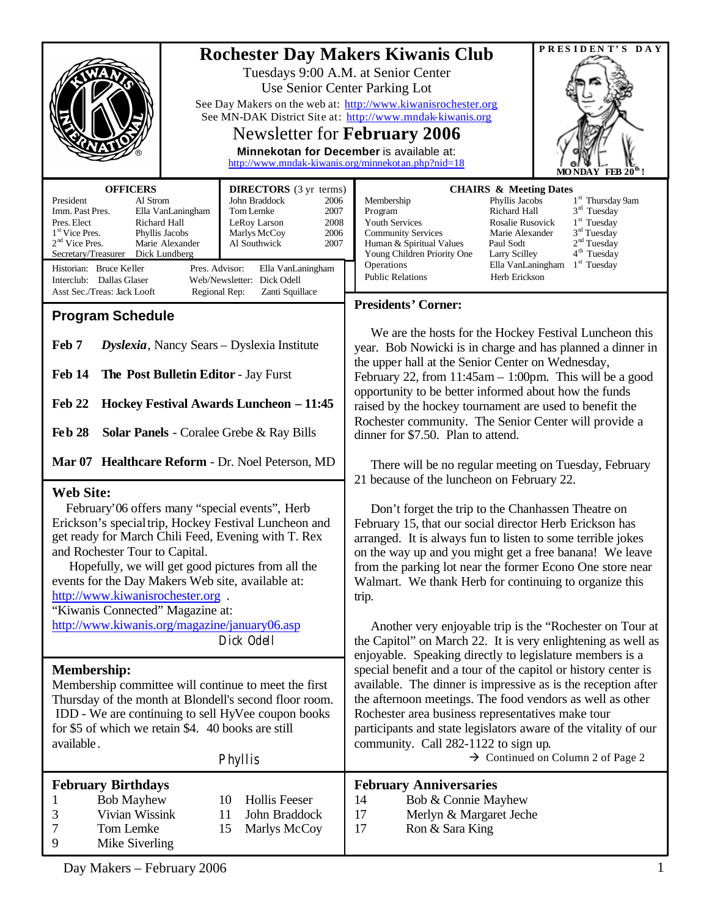|                                                                                                                                                                                                                                                                                                                                                                                                                                                                                                                                                                                                      | PRESIDENT'S DAY<br><b>Rochester Day Makers Kiwanis Club</b>                                                                                                                                                                                                                                                                                                                                                                                                                                                                    |
|------------------------------------------------------------------------------------------------------------------------------------------------------------------------------------------------------------------------------------------------------------------------------------------------------------------------------------------------------------------------------------------------------------------------------------------------------------------------------------------------------------------------------------------------------------------------------------------------------|--------------------------------------------------------------------------------------------------------------------------------------------------------------------------------------------------------------------------------------------------------------------------------------------------------------------------------------------------------------------------------------------------------------------------------------------------------------------------------------------------------------------------------|
|                                                                                                                                                                                                                                                                                                                                                                                                                                                                                                                                                                                                      | Tuesdays 9:00 A.M. at Senior Center<br>Use Senior Center Parking Lot<br>See Day Makers on the web at: http://www.kiwanisrochester.org<br>See MN-DAK District Site at: http://www.mndak-kiwanis.org<br>Newsletter for February 2006<br>Minnekotan for December is available at:<br>http://www.mndak-kiwanis.org/minnekotan.php?nid=18<br>FEB $20^{\mathrm{m}}$                                                                                                                                                                  |
| <b>OFFICERS</b><br><b>DIRECTORS</b> (3 yr terms)<br>President<br>Al Strom<br>John Braddock<br>2006<br>Tom Lemke<br>Imm. Past Pres.<br>Ella VanLaningham<br>2007<br>Pres. Elect<br>Richard Hall<br>LeRoy Larson<br>2008<br>1 <sup>st</sup> Vice Pres.<br>Phyllis Jacobs<br>Marlys McCoy<br>2006<br>$2nd$ Vice Pres.<br>Marie Alexander<br>Al Southwick<br>2007<br>Secretary/Treasurer<br>Dick Lundberg<br>Historian: Bruce Keller<br>Pres. Advisor:<br>Ella VanLaningham<br>Interclub: Dallas Glaser<br>Web/Newsletter: Dick Odell<br>Asst Sec./Treas: Jack Looft<br>Regional Rep:<br>Zanti Squillace | <b>CHAIRS &amp; Meeting Dates</b><br>Phyllis Jacobs<br>1 <sup>st</sup> Thursday 9am<br>Membership<br>$3rd$ Tuesday<br>Richard Hall<br>Program<br>$1st$ Tuesday<br>Youth Services<br>Rosalie Rusovick<br>$3rd$ Tuesday<br><b>Community Services</b><br>Marie Alexander<br>2 <sup>nd</sup> Tuesday<br>Human & Spiritual Values<br>Paul Sodt<br>4 <sup>th</sup> Tuesday<br>Young Children Priority One<br>Larry Scilley<br>1 <sup>st</sup> Tuesday<br>Operations<br>Ella VanLaningham<br><b>Public Relations</b><br>Herb Erickson |
|                                                                                                                                                                                                                                                                                                                                                                                                                                                                                                                                                                                                      | <b>Presidents' Corner:</b>                                                                                                                                                                                                                                                                                                                                                                                                                                                                                                     |
| <b>Program Schedule</b><br>Feb 7<br>Dyslexia, Nancy Sears - Dyslexia Institute<br><b>Feb 14</b><br>The Post Bulletin Editor - Jay Furst<br>Hockey Festival Awards Luncheon - 11:45<br>Feb 22<br><b>Feb 28</b><br><b>Solar Panels</b> - Coralee Grebe & Ray Bills                                                                                                                                                                                                                                                                                                                                     | We are the hosts for the Hockey Festival Luncheon this<br>year. Bob Nowicki is in charge and has planned a dinner in<br>the upper hall at the Senior Center on Wednesday,<br>February 22, from $11:45am - 1:00pm$ . This will be a good<br>opportunity to be better informed about how the funds<br>raised by the hockey tournament are used to benefit the<br>Rochester community. The Senior Center will provide a<br>dinner for \$7.50. Plan to attend.                                                                     |
| Mar 07 Healthcare Reform - Dr. Noel Peterson, MD                                                                                                                                                                                                                                                                                                                                                                                                                                                                                                                                                     | There will be no regular meeting on Tuesday, February                                                                                                                                                                                                                                                                                                                                                                                                                                                                          |
| <b>Web Site:</b><br>February'06 offers many "special events", Herb<br>Erickson's special trip, Hockey Festival Luncheon and<br>get ready for March Chili Feed, Evening with T. Rex<br>and Rochester Tour to Capital.<br>Hopefully, we will get good pictures from all the<br>events for the Day Makers Web site, available at:<br>http://www.kiwanisrochester.org.<br>"Kiwanis Connected" Magazine at:<br>http://www.kiwanis.org/magazine/january06.asp                                                                                                                                              | 21 because of the luncheon on February 22.<br>Don't forget the trip to the Chanhassen Theatre on<br>February 15, that our social director Herb Erickson has<br>arranged. It is always fun to listen to some terrible jokes<br>on the way up and you might get a free banana! We leave<br>from the parking lot near the former Econo One store near<br>Walmart. We thank Herb for continuing to organize this<br>trip.<br>Another very enjoyable trip is the "Rochester on Tour at                                              |
| Dick Odell                                                                                                                                                                                                                                                                                                                                                                                                                                                                                                                                                                                           | the Capitol" on March 22. It is very enlightening as well as                                                                                                                                                                                                                                                                                                                                                                                                                                                                   |
| <b>Membership:</b><br>Membership committee will continue to meet the first<br>Thursday of the month at Blondell's second floor room.<br>IDD - We are continuing to sell HyVee coupon books<br>for \$5 of which we retain \$4. 40 books are still<br>available.<br>Phyllis                                                                                                                                                                                                                                                                                                                            | enjoyable. Speaking directly to legislature members is a<br>special benefit and a tour of the capitol or history center is<br>available. The dinner is impressive as is the reception after<br>the afternoon meetings. The food vendors as well as other<br>Rochester area business representatives make tour<br>participants and state legislators aware of the vitality of our<br>community. Call 282-1122 to sign up.<br>$\rightarrow$ Continued on Column 2 of Page 2                                                      |
| <b>February Birthdays</b><br><b>Hollis Feeser</b><br><b>Bob Mayhew</b><br>10<br>1<br>Vivian Wissink<br>11<br>John Braddock<br>3<br>7<br>Tom Lemke<br>15<br>Marlys McCoy<br>9<br>Mike Siverling                                                                                                                                                                                                                                                                                                                                                                                                       | <b>February Anniversaries</b><br>Bob & Connie Mayhew<br>14<br>17<br>Merlyn & Margaret Jeche<br>17<br>Ron & Sara King                                                                                                                                                                                                                                                                                                                                                                                                           |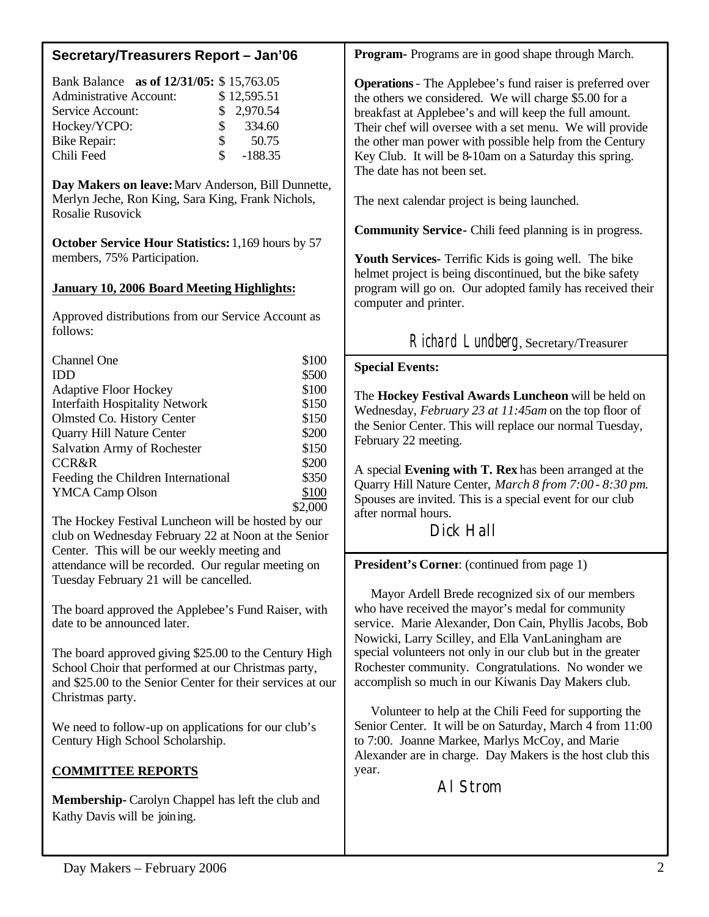| Secretary/Treasurers Report - Jan'06                                                                                                                                                                                                                                                                                                                                                                                                                                                                                                                                                              | Program- Programs are in good shape through March.                                                                                                                                                                                                                                                                                                                                                                                                                                                                                                                                                                                                                                                                |
|---------------------------------------------------------------------------------------------------------------------------------------------------------------------------------------------------------------------------------------------------------------------------------------------------------------------------------------------------------------------------------------------------------------------------------------------------------------------------------------------------------------------------------------------------------------------------------------------------|-------------------------------------------------------------------------------------------------------------------------------------------------------------------------------------------------------------------------------------------------------------------------------------------------------------------------------------------------------------------------------------------------------------------------------------------------------------------------------------------------------------------------------------------------------------------------------------------------------------------------------------------------------------------------------------------------------------------|
| Bank Balance as of 12/31/05: \$15,763.05<br>\$12,595.51<br><b>Administrative Account:</b><br>2,970.54<br>Service Account:<br>\$<br>\$<br>334.60<br>Hockey/YCPO:<br>\$<br>50.75<br><b>Bike Repair:</b><br>\$<br>Chili Feed<br>$-188.35$                                                                                                                                                                                                                                                                                                                                                            | <b>Operations</b> - The Applebee's fund raiser is preferred over<br>the others we considered. We will charge \$5.00 for a<br>breakfast at Applebee's and will keep the full amount.<br>Their chef will oversee with a set menu. We will provide<br>the other man power with possible help from the Century<br>Key Club. It will be 8-10am on a Saturday this spring.<br>The date has not been set.                                                                                                                                                                                                                                                                                                                |
| Day Makers on leave: Marv Anderson, Bill Dunnette,<br>Merlyn Jeche, Ron King, Sara King, Frank Nichols,<br>Rosalie Rusovick<br>October Service Hour Statistics: 1,169 hours by 57<br>members, 75% Participation.<br><b>January 10, 2006 Board Meeting Highlights:</b><br>Approved distributions from our Service Account as<br>follows:                                                                                                                                                                                                                                                           | The next calendar project is being launched.<br><b>Community Service-</b> Chili feed planning is in progress.<br>Youth Services- Terrific Kids is going well. The bike<br>helmet project is being discontinued, but the bike safety<br>program will go on. Our adopted family has received their<br>computer and printer.<br>Richard Lundberg, Secretary/Treasurer                                                                                                                                                                                                                                                                                                                                                |
| \$100<br>Channel One<br>\$500<br>IDD<br>\$100<br><b>Adaptive Floor Hockey</b><br>\$150<br><b>Interfaith Hospitality Network</b><br>\$150<br>Olmsted Co. History Center<br>\$200<br>Quarry Hill Nature Center<br>Salvation Army of Rochester<br>\$150<br>\$200<br><b>CCR&amp;R</b><br>\$350<br>Feeding the Children International<br><b>YMCA Camp Olson</b><br>\$100<br>\$2,000<br>The Hockey Festival Luncheon will be hosted by our<br>club on Wednesday February 22 at Noon at the Senior<br>Center. This will be our weekly meeting and                                                        | <b>Special Events:</b><br>The Hockey Festival Awards Luncheon will be held on<br>Wednesday, February 23 at 11:45am on the top floor of<br>the Senior Center. This will replace our normal Tuesday,<br>February 22 meeting.<br>A special Evening with T. Rex has been arranged at the<br>Quarry Hill Nature Center, March 8 from 7:00 - 8:30 pm.<br>Spouses are invited. This is a special event for our club<br>after normal hours.<br>Dick Hall                                                                                                                                                                                                                                                                  |
| attendance will be recorded. Our regular meeting on<br>Tuesday February 21 will be cancelled.<br>The board approved the Applebee's Fund Raiser, with<br>date to be announced later.<br>The board approved giving \$25.00 to the Century High<br>School Choir that performed at our Christmas party,<br>and \$25.00 to the Senior Center for their services at our<br>Christmas party.<br>We need to follow-up on applications for our club's<br>Century High School Scholarship.<br><b>COMMITTEE REPORTS</b><br>Membership- Carolyn Chappel has left the club and<br>Kathy Davis will be joining. | <b>President's Corner:</b> (continued from page 1)<br>Mayor Ardell Brede recognized six of our members<br>who have received the mayor's medal for community<br>service. Marie Alexander, Don Cain, Phyllis Jacobs, Bob<br>Nowicki, Larry Scilley, and Ella VanLaningham are<br>special volunteers not only in our club but in the greater<br>Rochester community. Congratulations. No wonder we<br>accomplish so much in our Kiwanis Day Makers club.<br>Volunteer to help at the Chili Feed for supporting the<br>Senior Center. It will be on Saturday, March 4 from 11:00<br>to 7:00. Joanne Markee, Marlys McCoy, and Marie<br>Alexander are in charge. Day Makers is the host club this<br>year.<br>AI Strom |